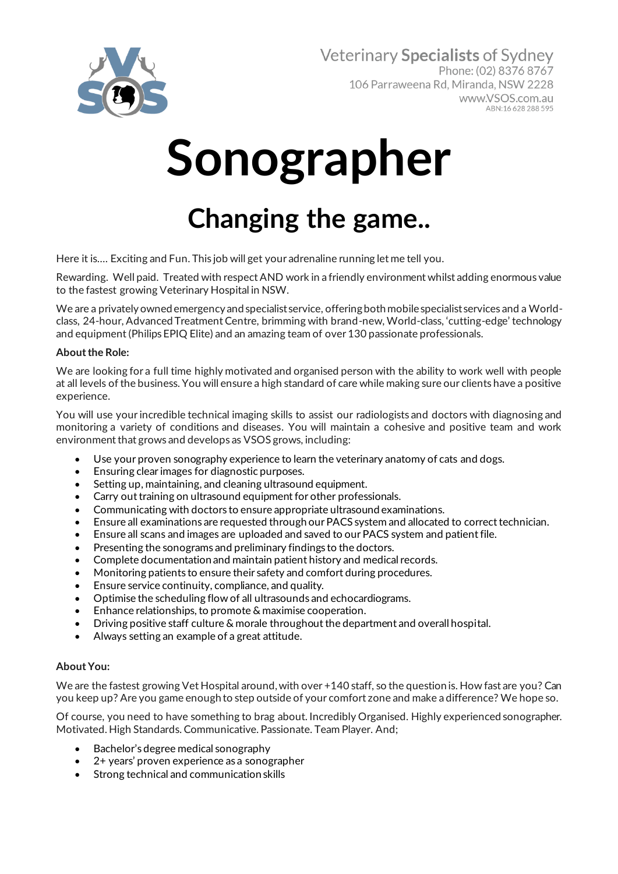

# **Sonographer**

## **Changing the game..**

Here it is…. Exciting and Fun. This job will get your adrenaline running let me tell you.

Rewarding. Well paid. Treated with respect AND work in a friendly environment whilst adding enormous value to the fastest growing Veterinary Hospital in NSW.

We are a privately owned emergency and specialist service, offering both mobile specialist services and a Worldclass, 24-hour, Advanced Treatment Centre, brimming with brand-new, World-class, 'cutting-edge' technology and equipment (Philips EPIQ Elite) and an amazing team of over 130 passionate professionals.

### **About the Role:**

We are looking for a full time highly motivated and organised person with the ability to work well with people at all levels of the business. You will ensure a high standard of care while making sure our clients have a positive experience.

You will use your incredible technical imaging skills to assist our radiologists and doctors with diagnosing and monitoring a variety of conditions and diseases. You will maintain a cohesive and positive team and work environment that grows and develops as VSOS grows, including:

- Use your proven sonography experience to learn the veterinary anatomy of cats and dogs.
- Ensuring clear images for diagnostic purposes.
- Setting up, maintaining, and cleaning ultrasound equipment.
- Carry out training on ultrasound equipment for other professionals.
- Communicating with doctors to ensure appropriate ultrasound examinations.
- Ensure all examinations are requested through our PACS system and allocated to correct technician.
- Ensure all scans and images are uploaded and saved to our PACS system and patient file.
- Presenting the sonograms and preliminary findings to the doctors.
- Complete documentation and maintain patient history and medical records.
- Monitoring patients to ensure their safety and comfort during procedures.
- Ensure service continuity, compliance, and quality.
- Optimise the scheduling flow of all ultrasounds and echocardiograms.
- Enhance relationships, to promote & maximise cooperation.
- Driving positive staff culture & morale throughout the department and overall hospital.
- Always setting an example of a great attitude.

### **About You:**

We are the fastest growing Vet Hospital around,with over +140 staff, so the question is. How fast are you? Can you keep up? Are you game enough to step outside of your comfort zone and make a difference? We hope so.

Of course, you need to have something to brag about. Incredibly Organised. Highly experienced sonographer. Motivated. High Standards. Communicative. Passionate. Team Player. And;

- Bachelor's degree medical sonography
- 2+ years' proven experience as a sonographer
- Strong technical and communication skills